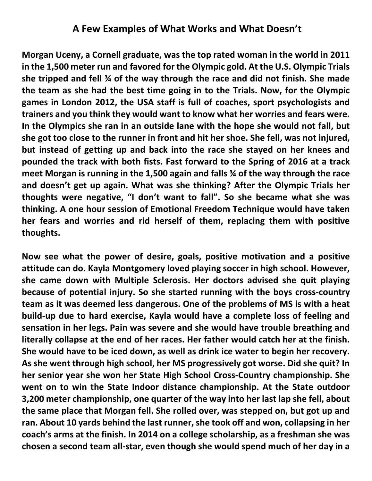## **A Few Examples of What Works and What Doesn't**

**Morgan Uceny, a Cornell graduate, was the top rated woman in the world in 2011 in the 1,500 meter run and favored for the Olympic gold. At the U.S. Olympic Trials she tripped and fell ¾ of the way through the race and did not finish. She made the team as she had the best time going in to the Trials. Now, for the Olympic games in London 2012, the USA staff is full of coaches, sport psychologists and trainers and you think they would want to know what her worries and fears were. In the Olympics she ran in an outside lane with the hope she would not fall, but she got too close to the runner in front and hit her shoe. She fell, was not injured, but instead of getting up and back into the race she stayed on her knees and pounded the track with both fists. Fast forward to the Spring of 2016 at a track meet Morgan is running in the 1,500 again and falls ¾ of the way through the race and doesn't get up again. What was she thinking? After the Olympic Trials her thoughts were negative, "I don't want to fall". So she became what she was thinking. A one hour session of Emotional Freedom Technique would have taken her fears and worries and rid herself of them, replacing them with positive thoughts.**

**Now see what the power of desire, goals, positive motivation and a positive attitude can do. Kayla Montgomery loved playing soccer in high school. However, she came down with Multiple Sclerosis. Her doctors advised she quit playing because of potential injury. So she started running with the boys cross-country team as it was deemed less dangerous. One of the problems of MS is with a heat build-up due to hard exercise, Kayla would have a complete loss of feeling and sensation in her legs. Pain was severe and she would have trouble breathing and literally collapse at the end of her races. Her father would catch her at the finish. She would have to be iced down, as well as drink ice water to begin her recovery. As she went through high school, her MS progressively got worse. Did she quit? In her senior year she won her State High School Cross-Country championship. She went on to win the State Indoor distance championship. At the State outdoor 3,200 meter championship, one quarter of the way into her last lap she fell, about the same place that Morgan fell. She rolled over, was stepped on, but got up and ran. About 10 yards behind the last runner, she took off and won, collapsing in her coach's arms at the finish. In 2014 on a college scholarship, as a freshman she was chosen a second team all-star, even though she would spend much of her day in a**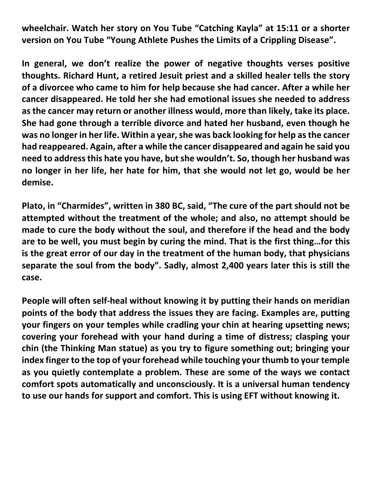**wheelchair. Watch her story on You Tube "Catching Kayla" at 15:11 or a shorter version on You Tube "Young Athlete Pushes the Limits of a Crippling Disease".**

**In general, we don't realize the power of negative thoughts verses positive thoughts. Richard Hunt, a retired Jesuit priest and a skilled healer tells the story of a divorcee who came to him for help because she had cancer. After a while her cancer disappeared. He told her she had emotional issues she needed to address as the cancer may return or another illness would, more than likely, take its place. She had gone through a terrible divorce and hated her husband, even though he**  was no longer in her life. Within a year, she was back looking for help as the cancer **had reappeared. Again, after a while the cancer disappeared and again he said you need to address this hate you have, but she wouldn't. So, though her husband was no longer in her life, her hate for him, that she would not let go, would be her demise.**

**Plato, in "Charmides", written in 380 BC, said, "The cure of the part should not be attempted without the treatment of the whole; and also, no attempt should be made to cure the body without the soul, and therefore if the head and the body are to be well, you must begin by curing the mind. That is the first thing…for this is the great error of our day in the treatment of the human body, that physicians separate the soul from the body". Sadly, almost 2,400 years later this is still the case.**

**People will often self-heal without knowing it by putting their hands on meridian points of the body that address the issues they are facing. Examples are, putting your fingers on your temples while cradling your chin at hearing upsetting news; covering your forehead with your hand during a time of distress; clasping your chin (the Thinking Man statue) as you try to figure something out; bringing your index finger to the top of your forehead while touching your thumb to your temple as you quietly contemplate a problem. These are some of the ways we contact comfort spots automatically and unconsciously. It is a universal human tendency to use our hands for support and comfort. This is using EFT without knowing it.**